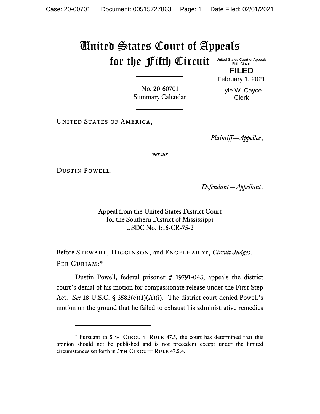## United States Court of Appeals for the Fifth Circuit United States Court of Appeals

Fifth Circuit **FILED**

No. 20-60701 Summary Calendar Lyle W. Cayce Clerk

February 1, 2021

UNITED STATES OF AMERICA,

*Plaintiff—Appellee*,

*versus*

Dustin Powell,

*Defendant—Appellant*.

Appeal from the United States District Court for the Southern District of Mississippi USDC No. 1:16-CR-75-2

Before STEWART, HIGGINSON, and ENGELHARDT, *Circuit Judges*. Per Curiam:\*

Dustin Powell, federal prisoner # 19791-043, appeals the district court's denial of his motion for compassionate release under the First Step Act. *See* 18 U.S.C. § 3582(c)(1)(A)(i). The district court denied Powell's motion on the ground that he failed to exhaust his administrative remedies

<sup>\*</sup> Pursuant to 5TH CIRCUIT RULE 47.5, the court has determined that this opinion should not be published and is not precedent except under the limited circumstances set forth in 5TH CIRCUIT RULE 47.5.4.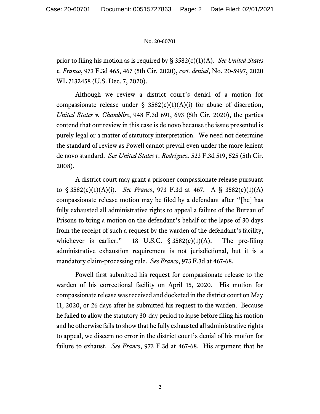## No. 20-60701

prior to filing his motion as is required by § 3582(c)(1)(A). *See United States v. Franco*, 973 F.3d 465, 467 (5th Cir. 2020), *cert. denied*, No. 20-5997, 2020 WL 7132458 (U.S. Dec. 7, 2020).

Although we review a district court's denial of a motion for compassionate release under  $\S$  3582(c)(1)(A)(i) for abuse of discretion, *United States v. Chambliss*, 948 F.3d 691, 693 (5th Cir. 2020), the parties contend that our review in this case is de novo because the issue presented is purely legal or a matter of statutory interpretation. We need not determine the standard of review as Powell cannot prevail even under the more lenient de novo standard. *See United States v. Rodriguez*, 523 F.3d 519, 525 (5th Cir. 2008).

A district court may grant a prisoner compassionate release pursuant to § 3582(c)(1)(A)(i). *See Franco*, 973 F.3d at 467. A § 3582(c)(1)(A) compassionate release motion may be filed by a defendant after "[he] has fully exhausted all administrative rights to appeal a failure of the Bureau of Prisons to bring a motion on the defendant's behalf or the lapse of 30 days from the receipt of such a request by the warden of the defendant's facility, whichever is earlier." 18 U.S.C.  $\S 3582(c)(1)(A)$ . The pre-filing administrative exhaustion requirement is not jurisdictional, but it is a mandatory claim-processing rule. *See Franco*, 973 F.3d at 467-68.

Powell first submitted his request for compassionate release to the warden of his correctional facility on April 15, 2020. His motion for compassionate release was received and docketed in the district court on May 11, 2020, or 26 days after he submitted his request to the warden. Because he failed to allow the statutory 30-day period to lapse before filing his motion and he otherwise fails to show that he fully exhausted all administrative rights to appeal, we discern no error in the district court's denial of his motion for failure to exhaust. *See Franco*, 973 F.3d at 467-68. His argument that he